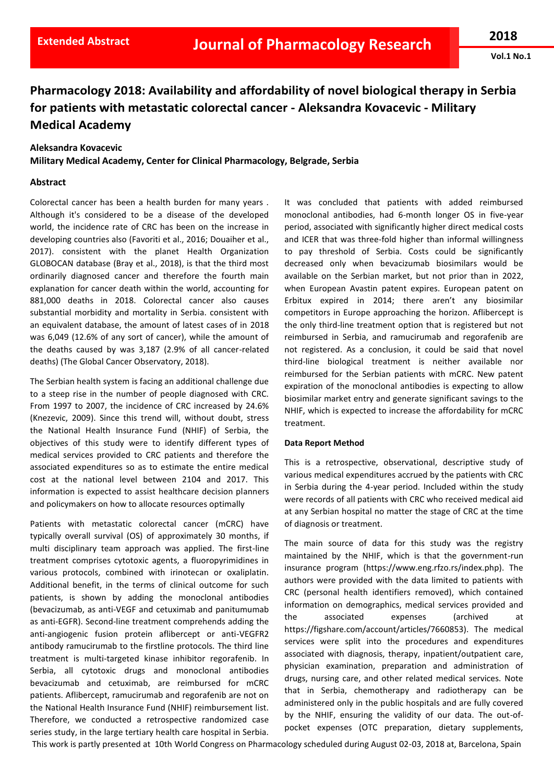**Vol.1 No.1**

# **Pharmacology 2018: Availability and affordability of novel biological therapy in Serbia for patients with metastatic colorectal cancer - Aleksandra Kovacevic - Military Medical Academy**

# **Aleksandra Kovacevic**

**Military Medical Academy, Center for Clinical Pharmacology, Belgrade, Serbia**

#### **Abstract**

Colorectal cancer has been a health burden for many years . Although it's considered to be a disease of the developed world, the incidence rate of CRC has been on the increase in developing countries also (Favoriti et al., 2016; Douaiher et al., 2017). consistent with the planet Health Organization GLOBOCAN database (Bray et al., 2018), is that the third most ordinarily diagnosed cancer and therefore the fourth main explanation for cancer death within the world, accounting for 881,000 deaths in 2018. Colorectal cancer also causes substantial morbidity and mortality in Serbia. consistent with an equivalent database, the amount of latest cases of in 2018 was 6,049 (12.6% of any sort of cancer), while the amount of the deaths caused by was 3,187 (2.9% of all cancer-related deaths) (The Global Cancer Observatory, 2018).

The Serbian health system is facing an additional challenge due to a steep rise in the number of people diagnosed with CRC. From 1997 to 2007, the incidence of CRC increased by 24.6% (Knezevic, 2009). Since this trend will, without doubt, stress the National Health Insurance Fund (NHIF) of Serbia, the objectives of this study were to identify different types of medical services provided to CRC patients and therefore the associated expenditures so as to estimate the entire medical cost at the national level between 2104 and 2017. This information is expected to assist healthcare decision planners and policymakers on how to allocate resources optimally

Patients with metastatic colorectal cancer (mCRC) have typically overall survival (OS) of approximately 30 months, if multi disciplinary team approach was applied. The first-line treatment comprises cytotoxic agents, a fluoropyrimidines in various protocols, combined with irinotecan or oxaliplatin. Additional benefit, in the terms of clinical outcome for such patients, is shown by adding the monoclonal antibodies (bevacizumab, as anti-VEGF and cetuximab and panitumumab as anti-EGFR). Second-line treatment comprehends adding the anti-angiogenic fusion protein aflibercept or anti-VEGFR2 antibody ramucirumab to the firstline protocols. The third line treatment is multi-targeted kinase inhibitor regorafenib. In Serbia, all cytotoxic drugs and monoclonal antibodies bevacizumab and cetuximab, are reimbursed for mCRC patients. Aflibercept, ramucirumab and regorafenib are not on the National Health Insurance Fund (NHIF) reimbursement list. Therefore, we conducted a retrospective randomized case series study, in the large tertiary health care hospital in Serbia.

It was concluded that patients with added reimbursed monoclonal antibodies, had 6-month longer OS in five-year period, associated with significantly higher direct medical costs and ICER that was three-fold higher than informal willingness to pay threshold of Serbia. Costs could be significantly decreased only when bevacizumab biosimilars would be available on the Serbian market, but not prior than in 2022, when European Avastin patent expires. European patent on Erbitux expired in 2014; there aren't any biosimilar competitors in Europe approaching the horizon. Aflibercept is the only third-line treatment option that is registered but not reimbursed in Serbia, and ramucirumab and regorafenib are not registered. As a conclusion, it could be said that novel third-line biological treatment is neither available nor reimbursed for the Serbian patients with mCRC. New patent expiration of the monoclonal antibodies is expecting to allow biosimilar market entry and generate significant savings to the NHIF, which is expected to increase the affordability for mCRC treatment.

#### **Data Report Method**

This is a retrospective, observational, descriptive study of various medical expenditures accrued by the patients with CRC in Serbia during the 4-year period. Included within the study were records of all patients with CRC who received medical aid at any Serbian hospital no matter the stage of CRC at the time of diagnosis or treatment.

The main source of data for this study was the registry maintained by the NHIF, which is that the government-run insurance program (https://www.eng.rfzo.rs/index.php). The authors were provided with the data limited to patients with CRC (personal health identifiers removed), which contained information on demographics, medical services provided and the associated expenses (archived at https://figshare.com/account/articles/7660853). The medical services were split into the procedures and expenditures associated with diagnosis, therapy, inpatient/outpatient care, physician examination, preparation and administration of drugs, nursing care, and other related medical services. Note that in Serbia, chemotherapy and radiotherapy can be administered only in the public hospitals and are fully covered by the NHIF, ensuring the validity of our data. The out-ofpocket expenses (OTC preparation, dietary supplements,

This work is partly presented at 10th World Congress on Pharmacology scheduled during August 02-03, 2018 at, Barcelona, Spain